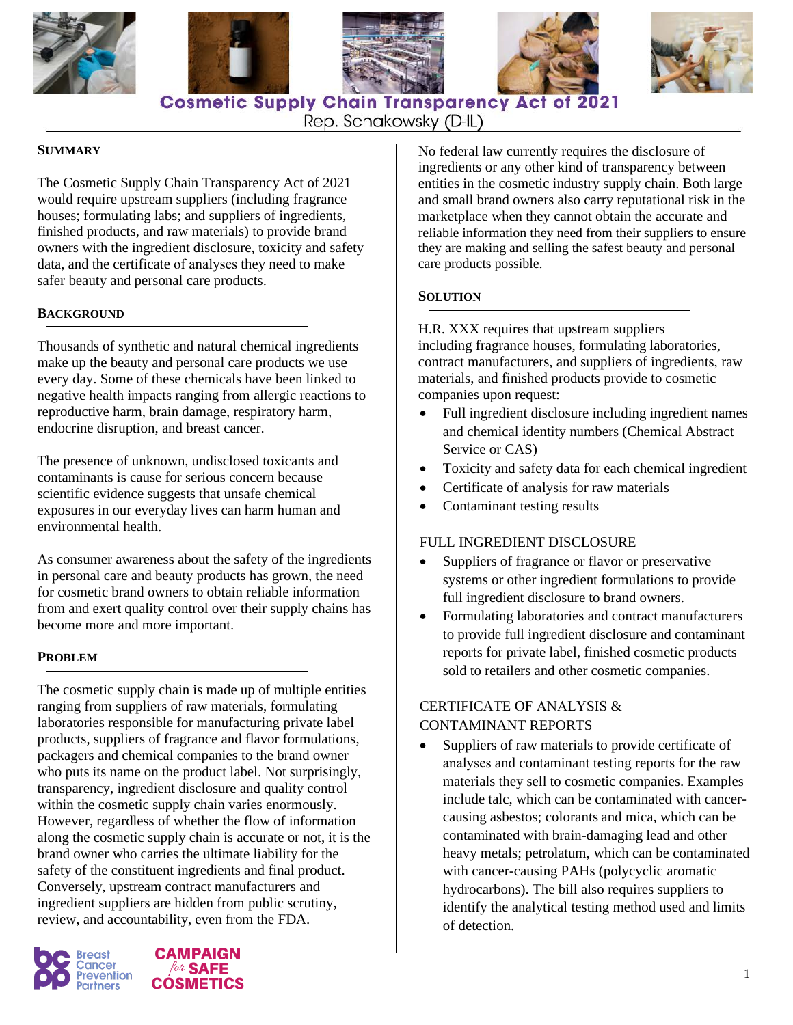









**Cosmetic Supply Chain Transparency Act of 2021** 

# Rep. Schakowsky (D-IL)

#### **SUMMARY**

The Cosmetic Supply Chain Transparency Act of 2021 would require upstream suppliers (including fragrance houses; formulating labs; and suppliers of ingredients, finished products, and raw materials) to provide brand owners with the ingredient disclosure, toxicity and safety data, and the certificate of analyses they need to make safer beauty and personal care products.

#### **BACKGROUND**

Thousands of synthetic and natural chemical ingredients make up the beauty and personal care products we use every day. Some of these chemicals have been linked to negative health impacts ranging from allergic reactions to reproductive harm, brain damage, respiratory harm, endocrine disruption, and breast cancer.

The presence of unknown, undisclosed toxicants and contaminants is cause for serious concern because scientific evidence suggests that unsafe chemical exposures in our everyday lives can harm human and environmental health.

As consumer awareness about the safety of the ingredients in personal care and beauty products has grown, the need for cosmetic brand owners to obtain reliable information from and exert quality control over their supply chains has become more and more important.

#### **PROBLEM**

The cosmetic supply chain is made up of multiple entities ranging from suppliers of raw materials, formulating laboratories responsible for manufacturing private label products, suppliers of fragrance and flavor formulations, packagers and chemical companies to the brand owner who puts its name on the product label. Not surprisingly, transparency, ingredient disclosure and quality control within the cosmetic supply chain varies enormously. However, regardless of whether the flow of information along the cosmetic supply chain is accurate or not, it is the brand owner who carries the ultimate liability for the safety of the constituent ingredients and final product. Conversely, upstream contract manufacturers and ingredient suppliers are hidden from public scrutiny, review, and accountability, even from the FDA.





No federal law currently requires the disclosure of ingredients or any other kind of transparency between entities in the cosmetic industry supply chain. Both large and small brand owners also carry reputational risk in the marketplace when they cannot obtain the accurate and reliable information they need from their suppliers to ensure they are making and selling the safest beauty and personal care products possible.

#### **SOLUTION**

H.R. XXX requires that upstream suppliers including fragrance houses, formulating laboratories, contract manufacturers, and suppliers of ingredients, raw materials, and finished products provide to cosmetic companies upon request:

- Full ingredient disclosure including ingredient names and chemical identity numbers (Chemical Abstract Service or CAS)
- Toxicity and safety data for each chemical ingredient
- Certificate of analysis for raw materials
- Contaminant testing results

### FULL INGREDIENT DISCLOSURE

- Suppliers of fragrance or flavor or preservative systems or other ingredient formulations to provide full ingredient disclosure to brand owners.
- Formulating laboratories and contract manufacturers to provide full ingredient disclosure and contaminant reports for private label, finished cosmetic products sold to retailers and other cosmetic companies.

# CERTIFICATE OF ANALYSIS & CONTAMINANT REPORTS

• Suppliers of raw materials to provide certificate of analyses and contaminant testing reports for the raw materials they sell to cosmetic companies. Examples include talc, which can be contaminated with cancercausing asbestos; colorants and mica, which can be contaminated with brain-damaging lead and other heavy metals; petrolatum, which can be contaminated with cancer-causing PAHs (polycyclic aromatic hydrocarbons). The bill also requires suppliers to identify the analytical testing method used and limits of detection.